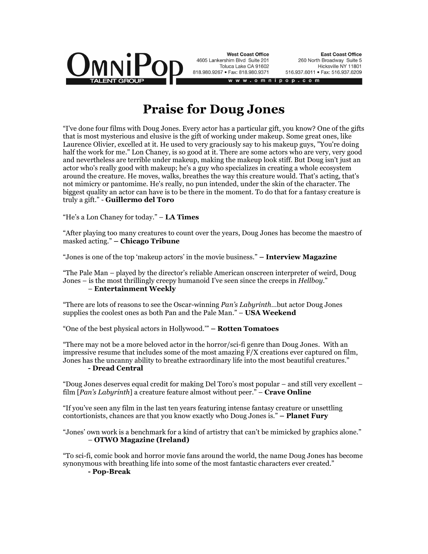

**West Coast Office** 4605 Lankershim Blvd Suite 201 Toluca Lake CA 91602 818.980.9267 · Fax: 818.980.9371

**East Coast Office** 260 North Broadway Suite 5 Hicksville NY 11801 516.937.6011 · Fax: 516.937.6209

 $o$  m n i p

## **Praise for Doug Jones**

"I've done four films with Doug Jones. Every actor has a particular gift, you know? One of the gifts that is most mysterious and elusive is the gift of working under makeup. Some great ones, like Laurence Olivier, excelled at it. He used to very graciously say to his makeup guys, "You're doing half the work for me." Lon Chaney, is so good at it. There are some actors who are very, very good and nevertheless are terrible under makeup, making the makeup look stiff. But Doug isn't just an actor who's really good with makeup; he's a guy who specializes in creating a whole ecosystem around the creature. He moves, walks, breathes the way this creature would. That's acting, that's not mimicry or pantomime. He's really, no pun intended, under the skin of the character. The biggest quality an actor can have is to be there in the moment. To do that for a fantasy creature is truly a gift." - **Guillermo del Toro** 

"He's a Lon Chaney for today." – **LA Times**

"After playing too many creatures to count over the years, Doug Jones has become the maestro of masked acting." **– Chicago Tribune** 

"Jones is one of the top 'makeup actors' in the movie business." **– Interview Magazine** 

"The Pale Man – played by the director's reliable American onscreen interpreter of weird, Doug Jones – is the most thrillingly creepy humanoid I've seen since the creeps in *Hellboy*." – **Entertainment Weekly**

"There are lots of reasons to see the Oscar-winning *Pan's Labyrinth*…but actor Doug Jones supplies the coolest ones as both Pan and the Pale Man." – **USA Weekend** 

"One of the best physical actors in Hollywood.'" **– Rotten Tomatoes** 

"There may not be a more beloved actor in the horror/sci-fi genre than Doug Jones. With an impressive resume that includes some of the most amazing  $F/X$  creations ever captured on film, Jones has the uncanny ability to breathe extraordinary life into the most beautiful creatures." **- Dread Central** 

"Doug Jones deserves equal credit for making Del Toro's most popular – and still very excellent – film [*Pan's Labyrinth*] a creature feature almost without peer." – **Crave Online**

"If you've seen any film in the last ten years featuring intense fantasy creature or unsettling contortionists, chances are that you know exactly who Doug Jones is." **– Planet Fury** 

"Jones' own work is a benchmark for a kind of artistry that can't be mimicked by graphics alone." – **OTWO Magazine (Ireland)** 

"To sci-fi, comic book and horror movie fans around the world, the name Doug Jones has become synonymous with breathing life into some of the most fantastic characters ever created."

## **- Pop-Break**